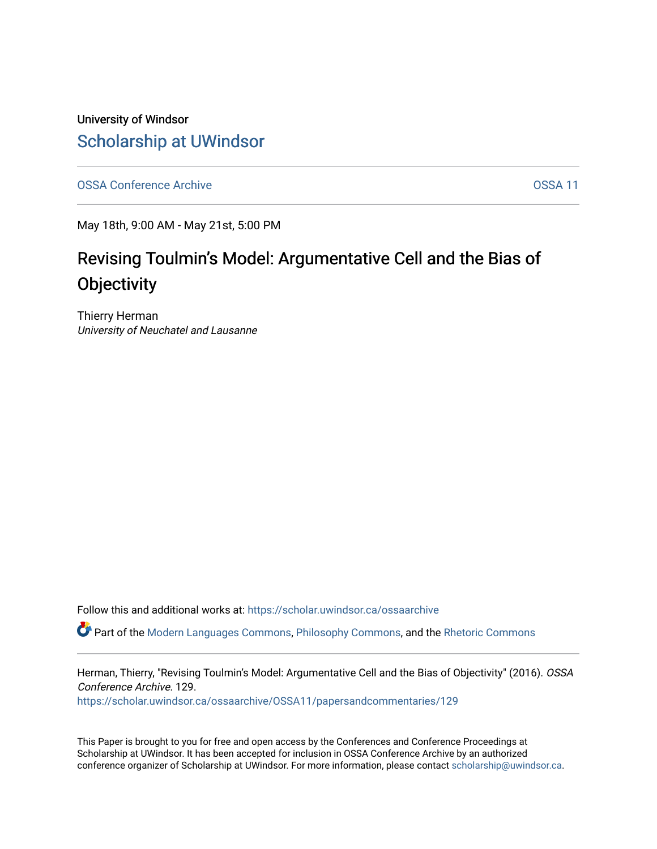University of Windsor [Scholarship at UWindsor](https://scholar.uwindsor.ca/) 

[OSSA Conference Archive](https://scholar.uwindsor.ca/ossaarchive) **OSSA 11** 

May 18th, 9:00 AM - May 21st, 5:00 PM

# Revising Toulmin's Model: Argumentative Cell and the Bias of **Objectivity**

Thierry Herman University of Neuchatel and Lausanne

Follow this and additional works at: [https://scholar.uwindsor.ca/ossaarchive](https://scholar.uwindsor.ca/ossaarchive?utm_source=scholar.uwindsor.ca%2Fossaarchive%2FOSSA11%2Fpapersandcommentaries%2F129&utm_medium=PDF&utm_campaign=PDFCoverPages)

Part of the [Modern Languages Commons,](http://network.bepress.com/hgg/discipline/1130?utm_source=scholar.uwindsor.ca%2Fossaarchive%2FOSSA11%2Fpapersandcommentaries%2F129&utm_medium=PDF&utm_campaign=PDFCoverPages) [Philosophy Commons,](http://network.bepress.com/hgg/discipline/525?utm_source=scholar.uwindsor.ca%2Fossaarchive%2FOSSA11%2Fpapersandcommentaries%2F129&utm_medium=PDF&utm_campaign=PDFCoverPages) and the [Rhetoric Commons](http://network.bepress.com/hgg/discipline/575?utm_source=scholar.uwindsor.ca%2Fossaarchive%2FOSSA11%2Fpapersandcommentaries%2F129&utm_medium=PDF&utm_campaign=PDFCoverPages)

Herman, Thierry, "Revising Toulmin's Model: Argumentative Cell and the Bias of Objectivity" (2016). OSSA Conference Archive. 129.

[https://scholar.uwindsor.ca/ossaarchive/OSSA11/papersandcommentaries/129](https://scholar.uwindsor.ca/ossaarchive/OSSA11/papersandcommentaries/129?utm_source=scholar.uwindsor.ca%2Fossaarchive%2FOSSA11%2Fpapersandcommentaries%2F129&utm_medium=PDF&utm_campaign=PDFCoverPages)

This Paper is brought to you for free and open access by the Conferences and Conference Proceedings at Scholarship at UWindsor. It has been accepted for inclusion in OSSA Conference Archive by an authorized conference organizer of Scholarship at UWindsor. For more information, please contact [scholarship@uwindsor.ca.](mailto:scholarship@uwindsor.ca)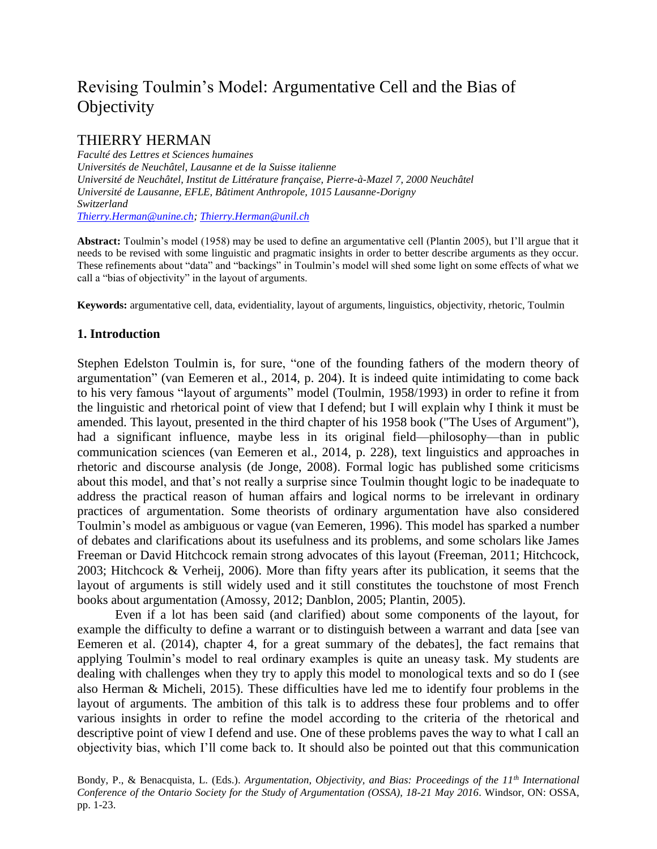# Revising Toulmin's Model: Argumentative Cell and the Bias of **Objectivity**

# THIERRY HERMAN

*Faculté des Lettres et Sciences humaines Universités de Neuchâtel, Lausanne et de la Suisse italienne Université de Neuchâtel, Institut de Littérature française, Pierre-à-Mazel 7, 2000 Neuchâtel Université de Lausanne, EFLE, Bâtiment Anthropole, 1015 Lausanne-Dorigny Switzerland [Thierry.Herman@unine.ch;](mailto:Thierry.Herman@unine.ch) [Thierry.Herman@unil.ch](mailto:Thierry.Herman@unil.ch)*

**Abstract:** Toulmin's model (1958) may be used to define an argumentative cell (Plantin 2005), but I'll argue that it needs to be revised with some linguistic and pragmatic insights in order to better describe arguments as they occur. These refinements about "data" and "backings" in Toulmin's model will shed some light on some effects of what we call a "bias of objectivity" in the layout of arguments.

**Keywords:** argumentative cell, data, evidentiality, layout of arguments, linguistics, objectivity, rhetoric, Toulmin

# **1. Introduction**

Stephen Edelston Toulmin is, for sure, "one of the founding fathers of the modern theory of argumentation" (van Eemeren et al., 2014, p. 204). It is indeed quite intimidating to come back to his very famous "layout of arguments" model (Toulmin, 1958/1993) in order to refine it from the linguistic and rhetorical point of view that I defend; but I will explain why I think it must be amended. This layout, presented in the third chapter of his 1958 book ("The Uses of Argument"), had a significant influence, maybe less in its original field—philosophy—than in public communication sciences (van Eemeren et al., 2014, p. 228), text linguistics and approaches in rhetoric and discourse analysis (de Jonge, 2008). Formal logic has published some criticisms about this model, and that's not really a surprise since Toulmin thought logic to be inadequate to address the practical reason of human affairs and logical norms to be irrelevant in ordinary practices of argumentation. Some theorists of ordinary argumentation have also considered Toulmin's model as ambiguous or vague (van Eemeren, 1996). This model has sparked a number of debates and clarifications about its usefulness and its problems, and some scholars like James Freeman or David Hitchcock remain strong advocates of this layout (Freeman, 2011; Hitchcock, 2003; Hitchcock & Verheij, 2006). More than fifty years after its publication, it seems that the layout of arguments is still widely used and it still constitutes the touchstone of most French books about argumentation (Amossy, 2012; Danblon, 2005; Plantin, 2005).

Even if a lot has been said (and clarified) about some components of the layout, for example the difficulty to define a warrant or to distinguish between a warrant and data [see van Eemeren et al. (2014), chapter 4, for a great summary of the debates], the fact remains that applying Toulmin's model to real ordinary examples is quite an uneasy task. My students are dealing with challenges when they try to apply this model to monological texts and so do I (see also Herman & Micheli, 2015). These difficulties have led me to identify four problems in the layout of arguments. The ambition of this talk is to address these four problems and to offer various insights in order to refine the model according to the criteria of the rhetorical and descriptive point of view I defend and use. One of these problems paves the way to what I call an objectivity bias, which I'll come back to. It should also be pointed out that this communication

Bondy, P., & Benacquista, L. (Eds.). *Argumentation, Objectivity, and Bias: Proceedings of the 11th International Conference of the Ontario Society for the Study of Argumentation (OSSA), 18-21 May 2016*. Windsor, ON: OSSA, pp. 1-23.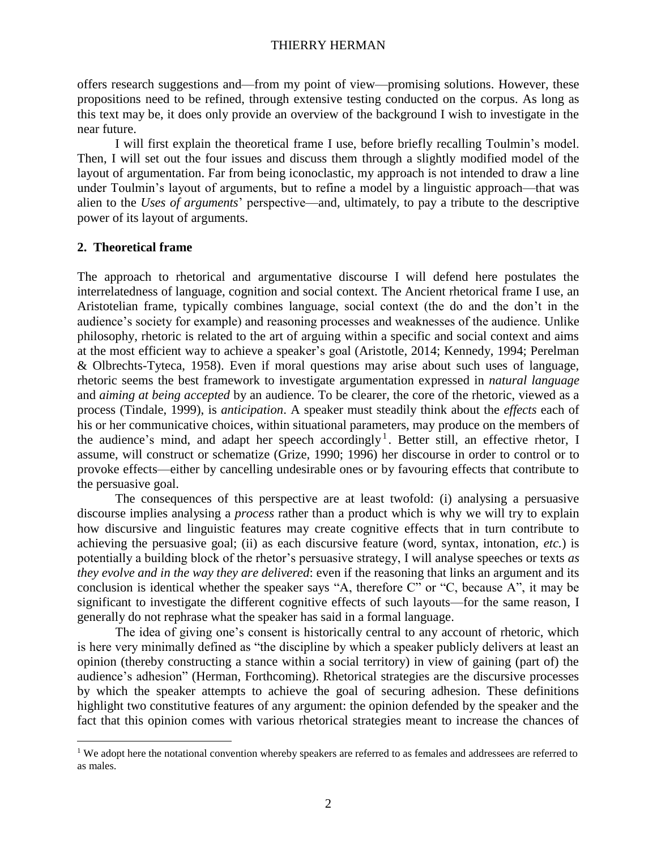offers research suggestions and—from my point of view—promising solutions. However, these propositions need to be refined, through extensive testing conducted on the corpus. As long as this text may be, it does only provide an overview of the background I wish to investigate in the near future.

I will first explain the theoretical frame I use, before briefly recalling Toulmin's model. Then, I will set out the four issues and discuss them through a slightly modified model of the layout of argumentation. Far from being iconoclastic, my approach is not intended to draw a line under Toulmin's layout of arguments, but to refine a model by a linguistic approach—that was alien to the *Uses of arguments*' perspective—and, ultimately, to pay a tribute to the descriptive power of its layout of arguments.

# **2. Theoretical frame**

 $\overline{a}$ 

The approach to rhetorical and argumentative discourse I will defend here postulates the interrelatedness of language, cognition and social context. The Ancient rhetorical frame I use, an Aristotelian frame, typically combines language, social context (the do and the don't in the audience's society for example) and reasoning processes and weaknesses of the audience. Unlike philosophy, rhetoric is related to the art of arguing within a specific and social context and aims at the most efficient way to achieve a speaker's goal (Aristotle, 2014; Kennedy, 1994; Perelman & Olbrechts-Tyteca, 1958). Even if moral questions may arise about such uses of language, rhetoric seems the best framework to investigate argumentation expressed in *natural language*  and *aiming at being accepted* by an audience. To be clearer, the core of the rhetoric, viewed as a process (Tindale, 1999), is *anticipation*. A speaker must steadily think about the *effects* each of his or her communicative choices, within situational parameters, may produce on the members of the audience's mind, and adapt her speech accordingly<sup>1</sup>. Better still, an effective rhetor, I assume, will construct or schematize (Grize, 1990; 1996) her discourse in order to control or to provoke effects—either by cancelling undesirable ones or by favouring effects that contribute to the persuasive goal.

The consequences of this perspective are at least twofold: (i) analysing a persuasive discourse implies analysing a *process* rather than a product which is why we will try to explain how discursive and linguistic features may create cognitive effects that in turn contribute to achieving the persuasive goal; (ii) as each discursive feature (word, syntax, intonation, *etc.*) is potentially a building block of the rhetor's persuasive strategy, I will analyse speeches or texts *as they evolve and in the way they are delivered*: even if the reasoning that links an argument and its conclusion is identical whether the speaker says "A, therefore C" or "C, because A", it may be significant to investigate the different cognitive effects of such layouts—for the same reason, I generally do not rephrase what the speaker has said in a formal language.

The idea of giving one's consent is historically central to any account of rhetoric, which is here very minimally defined as "the discipline by which a speaker publicly delivers at least an opinion (thereby constructing a stance within a social territory) in view of gaining (part of) the audience's adhesion" (Herman, Forthcoming). Rhetorical strategies are the discursive processes by which the speaker attempts to achieve the goal of securing adhesion. These definitions highlight two constitutive features of any argument: the opinion defended by the speaker and the fact that this opinion comes with various rhetorical strategies meant to increase the chances of

<sup>&</sup>lt;sup>1</sup> We adopt here the notational convention whereby speakers are referred to as females and addressees are referred to as males.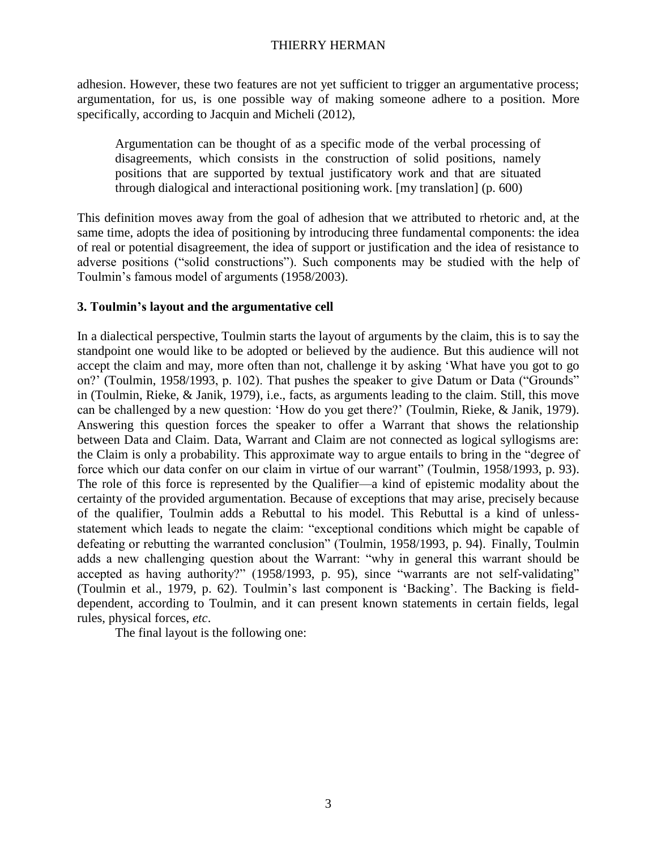adhesion. However, these two features are not yet sufficient to trigger an argumentative process; argumentation, for us, is one possible way of making someone adhere to a position. More specifically, according to Jacquin and Micheli (2012),

Argumentation can be thought of as a specific mode of the verbal processing of disagreements, which consists in the construction of solid positions, namely positions that are supported by textual justificatory work and that are situated through dialogical and interactional positioning work. [my translation] (p. 600)

This definition moves away from the goal of adhesion that we attributed to rhetoric and, at the same time, adopts the idea of positioning by introducing three fundamental components: the idea of real or potential disagreement, the idea of support or justification and the idea of resistance to adverse positions ("solid constructions"). Such components may be studied with the help of Toulmin's famous model of arguments (1958/2003).

# **3. Toulmin's layout and the argumentative cell**

In a dialectical perspective, Toulmin starts the layout of arguments by the claim, this is to say the standpoint one would like to be adopted or believed by the audience. But this audience will not accept the claim and may, more often than not, challenge it by asking 'What have you got to go on?' (Toulmin, 1958/1993, p. 102). That pushes the speaker to give Datum or Data ("Grounds" in (Toulmin, Rieke, & Janik, 1979), i.e., facts, as arguments leading to the claim. Still, this move can be challenged by a new question: 'How do you get there?' (Toulmin, Rieke, & Janik, 1979). Answering this question forces the speaker to offer a Warrant that shows the relationship between Data and Claim. Data, Warrant and Claim are not connected as logical syllogisms are: the Claim is only a probability. This approximate way to argue entails to bring in the "degree of force which our data confer on our claim in virtue of our warrant" (Toulmin, 1958/1993, p. 93). The role of this force is represented by the Qualifier—a kind of epistemic modality about the certainty of the provided argumentation. Because of exceptions that may arise, precisely because of the qualifier, Toulmin adds a Rebuttal to his model. This Rebuttal is a kind of unlessstatement which leads to negate the claim: "exceptional conditions which might be capable of defeating or rebutting the warranted conclusion" (Toulmin, 1958/1993, p. 94). Finally, Toulmin adds a new challenging question about the Warrant: "why in general this warrant should be accepted as having authority?" (1958/1993, p. 95), since "warrants are not self-validating" (Toulmin et al., 1979, p. 62). Toulmin's last component is 'Backing'. The Backing is fielddependent, according to Toulmin, and it can present known statements in certain fields, legal rules, physical forces, *etc*.

The final layout is the following one: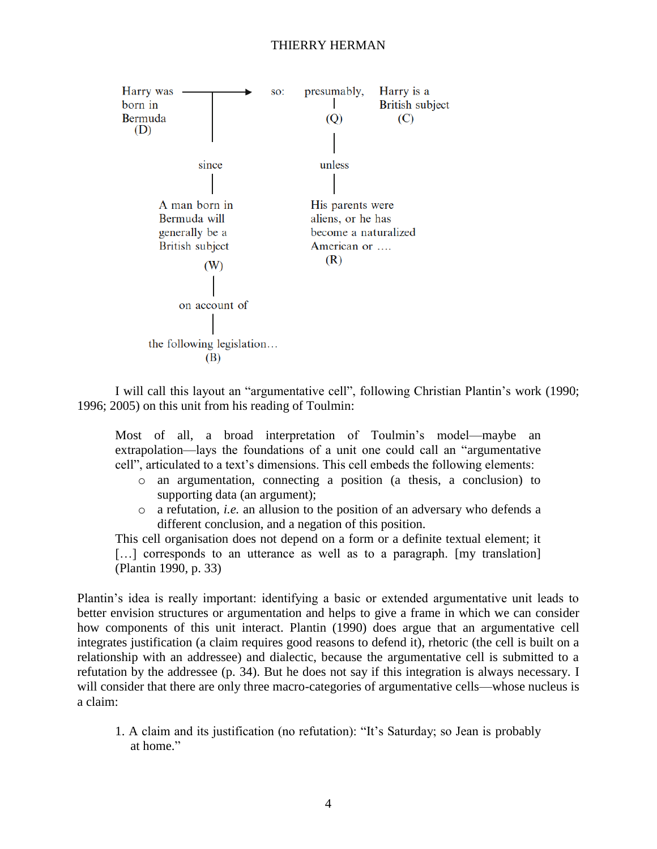

I will call this layout an "argumentative cell", following Christian Plantin's work (1990; 1996; 2005) on this unit from his reading of Toulmin:

Most of all, a broad interpretation of Toulmin's model—maybe an extrapolation—lays the foundations of a unit one could call an "argumentative cell", articulated to a text's dimensions. This cell embeds the following elements:

- o an argumentation, connecting a position (a thesis, a conclusion) to supporting data (an argument);
- o a refutation, *i.e.* an allusion to the position of an adversary who defends a different conclusion, and a negation of this position.

This cell organisation does not depend on a form or a definite textual element; it [...] corresponds to an utterance as well as to a paragraph. [my translation] (Plantin 1990, p. 33)

Plantin's idea is really important: identifying a basic or extended argumentative unit leads to better envision structures or argumentation and helps to give a frame in which we can consider how components of this unit interact. Plantin (1990) does argue that an argumentative cell integrates justification (a claim requires good reasons to defend it), rhetoric (the cell is built on a relationship with an addressee) and dialectic, because the argumentative cell is submitted to a refutation by the addressee (p. 34). But he does not say if this integration is always necessary. I will consider that there are only three macro-categories of argumentative cells—whose nucleus is a claim:

1. A claim and its justification (no refutation): "It's Saturday; so Jean is probably at home."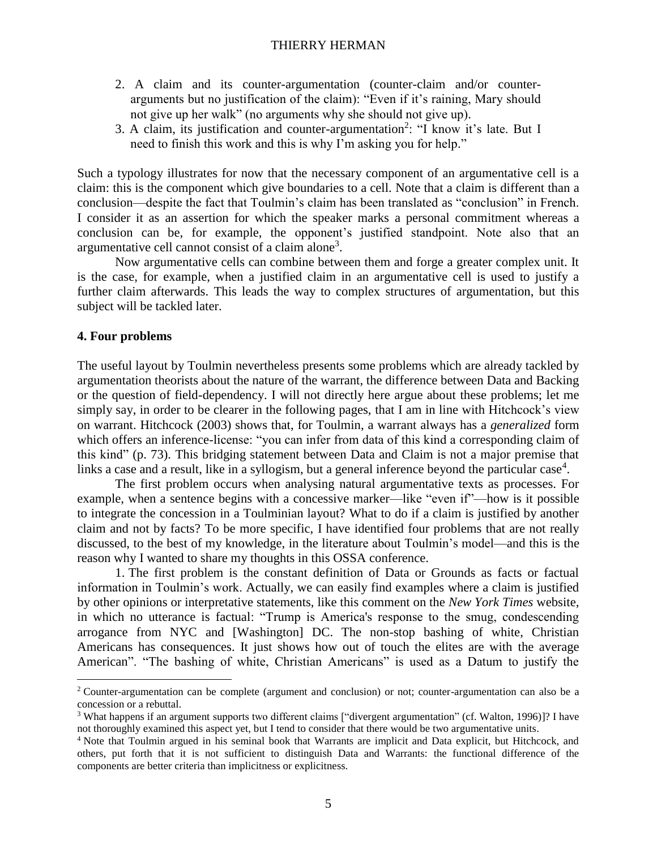- 2. A claim and its counter-argumentation (counter-claim and/or counterarguments but no justification of the claim): "Even if it's raining, Mary should not give up her walk" (no arguments why she should not give up).
- 3. A claim, its justification and counter-argumentation<sup>2</sup>: "I know it's late. But I need to finish this work and this is why I'm asking you for help."

Such a typology illustrates for now that the necessary component of an argumentative cell is a claim: this is the component which give boundaries to a cell. Note that a claim is different than a conclusion—despite the fact that Toulmin's claim has been translated as "conclusion" in French. I consider it as an assertion for which the speaker marks a personal commitment whereas a conclusion can be, for example, the opponent's justified standpoint. Note also that an argumentative cell cannot consist of a claim alone<sup>3</sup>.

Now argumentative cells can combine between them and forge a greater complex unit. It is the case, for example, when a justified claim in an argumentative cell is used to justify a further claim afterwards. This leads the way to complex structures of argumentation, but this subject will be tackled later.

#### **4. Four problems**

 $\overline{a}$ 

The useful layout by Toulmin nevertheless presents some problems which are already tackled by argumentation theorists about the nature of the warrant, the difference between Data and Backing or the question of field-dependency. I will not directly here argue about these problems; let me simply say, in order to be clearer in the following pages, that I am in line with Hitchcock's view on warrant. Hitchcock (2003) shows that, for Toulmin, a warrant always has a *generalized* form which offers an inference-license: "you can infer from data of this kind a corresponding claim of this kind" (p. 73). This bridging statement between Data and Claim is not a major premise that links a case and a result, like in a syllogism, but a general inference beyond the particular case<sup>4</sup>.

The first problem occurs when analysing natural argumentative texts as processes. For example, when a sentence begins with a concessive marker—like "even if"—how is it possible to integrate the concession in a Toulminian layout? What to do if a claim is justified by another claim and not by facts? To be more specific, I have identified four problems that are not really discussed, to the best of my knowledge, in the literature about Toulmin's model—and this is the reason why I wanted to share my thoughts in this OSSA conference.

1. The first problem is the constant definition of Data or Grounds as facts or factual information in Toulmin's work. Actually, we can easily find examples where a claim is justified by other opinions or interpretative statements, like this comment on the *New York Times* website, in which no utterance is factual: "Trump is America's response to the smug, condescending arrogance from NYC and [Washington] DC. The non-stop bashing of white, Christian Americans has consequences. It just shows how out of touch the elites are with the average American". "The bashing of white, Christian Americans" is used as a Datum to justify the

<sup>2</sup> Counter-argumentation can be complete (argument and conclusion) or not; counter-argumentation can also be a concession or a rebuttal.

<sup>3</sup> What happens if an argument supports two different claims ["divergent argumentation" (cf. Walton, 1996)]? I have not thoroughly examined this aspect yet, but I tend to consider that there would be two argumentative units.

<sup>4</sup> Note that Toulmin argued in his seminal book that Warrants are implicit and Data explicit, but Hitchcock, and others, put forth that it is not sufficient to distinguish Data and Warrants: the functional difference of the components are better criteria than implicitness or explicitness.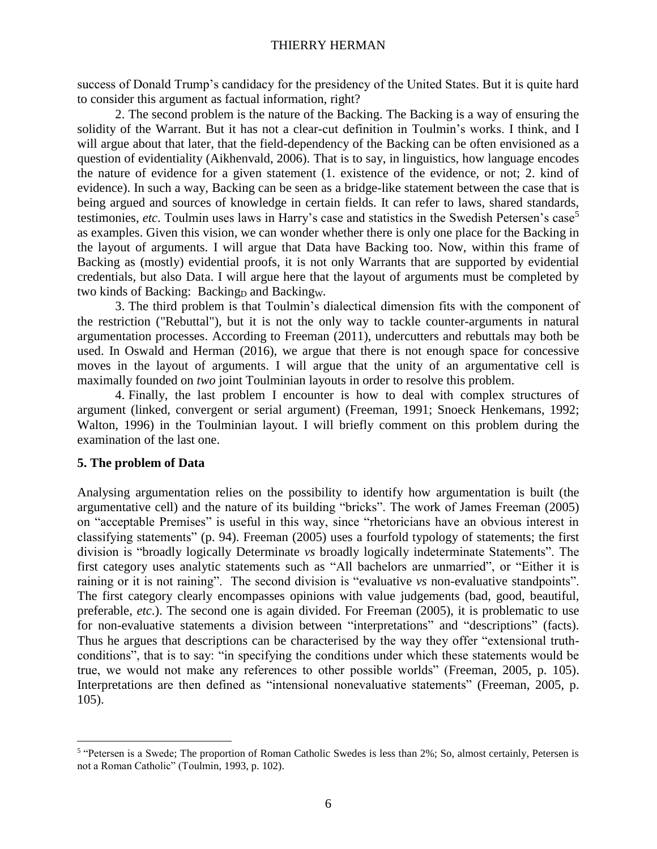success of Donald Trump's candidacy for the presidency of the United States. But it is quite hard to consider this argument as factual information, right?

2. The second problem is the nature of the Backing. The Backing is a way of ensuring the solidity of the Warrant. But it has not a clear-cut definition in Toulmin's works. I think, and I will argue about that later, that the field-dependency of the Backing can be often envisioned as a question of evidentiality (Aikhenvald, 2006). That is to say, in linguistics, how language encodes the nature of evidence for a given statement (1. existence of the evidence, or not; 2. kind of evidence). In such a way, Backing can be seen as a bridge-like statement between the case that is being argued and sources of knowledge in certain fields. It can refer to laws, shared standards, testimonies, *etc*. Toulmin uses laws in Harry's case and statistics in the Swedish Petersen's case<sup>5</sup> as examples. Given this vision, we can wonder whether there is only one place for the Backing in the layout of arguments. I will argue that Data have Backing too. Now, within this frame of Backing as (mostly) evidential proofs, it is not only Warrants that are supported by evidential credentials, but also Data. I will argue here that the layout of arguments must be completed by two kinds of Backing: Backing<sub>D</sub> and Backingw.

3. The third problem is that Toulmin's dialectical dimension fits with the component of the restriction ("Rebuttal"), but it is not the only way to tackle counter-arguments in natural argumentation processes. According to Freeman (2011), undercutters and rebuttals may both be used. In Oswald and Herman (2016), we argue that there is not enough space for concessive moves in the layout of arguments. I will argue that the unity of an argumentative cell is maximally founded on *two* joint Toulminian layouts in order to resolve this problem.

4. Finally, the last problem I encounter is how to deal with complex structures of argument (linked, convergent or serial argument) (Freeman, 1991; Snoeck Henkemans, 1992; Walton, 1996) in the Toulminian layout. I will briefly comment on this problem during the examination of the last one.

# **5. The problem of Data**

 $\overline{a}$ 

Analysing argumentation relies on the possibility to identify how argumentation is built (the argumentative cell) and the nature of its building "bricks". The work of James Freeman (2005) on "acceptable Premises" is useful in this way, since "rhetoricians have an obvious interest in classifying statements" (p. 94). Freeman (2005) uses a fourfold typology of statements; the first division is "broadly logically Determinate *vs* broadly logically indeterminate Statements". The first category uses analytic statements such as "All bachelors are unmarried", or "Either it is raining or it is not raining". The second division is "evaluative *vs* non-evaluative standpoints". The first category clearly encompasses opinions with value judgements (bad, good, beautiful, preferable, *etc*.). The second one is again divided. For Freeman (2005), it is problematic to use for non-evaluative statements a division between "interpretations" and "descriptions" (facts). Thus he argues that descriptions can be characterised by the way they offer "extensional truthconditions", that is to say: "in specifying the conditions under which these statements would be true, we would not make any references to other possible worlds" (Freeman, 2005, p. 105). Interpretations are then defined as "intensional nonevaluative statements" (Freeman, 2005, p. 105).

<sup>&</sup>lt;sup>5</sup> "Petersen is a Swede; The proportion of Roman Catholic Swedes is less than 2%; So, almost certainly, Petersen is not a Roman Catholic" (Toulmin, 1993, p. 102).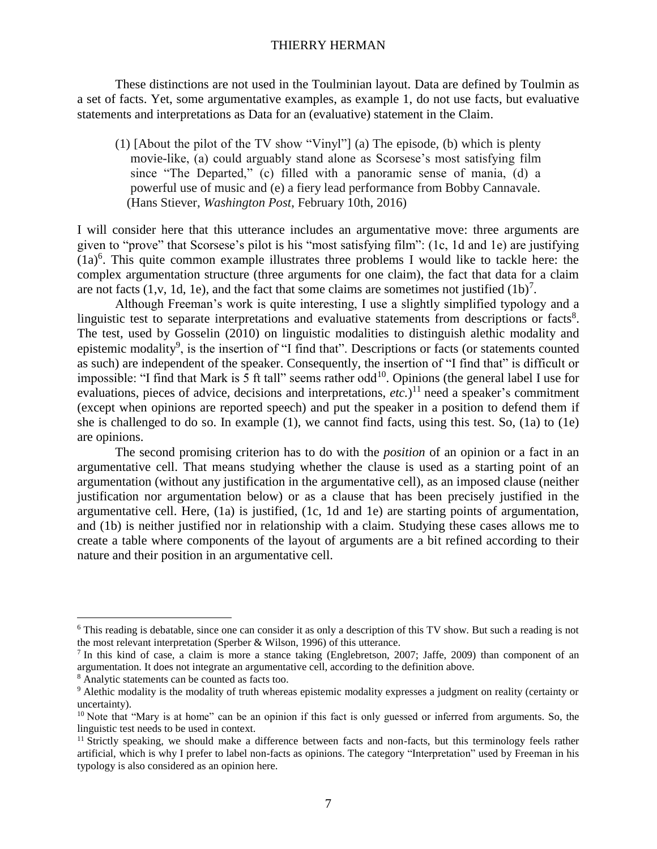These distinctions are not used in the Toulminian layout. Data are defined by Toulmin as a set of facts. Yet, some argumentative examples, as example 1, do not use facts, but evaluative statements and interpretations as Data for an (evaluative) statement in the Claim.

(1) [About the pilot of the TV show "Vinyl"] (a) The episode, (b) which is plenty movie-like, (a) could arguably stand alone as Scorsese's most satisfying film since "The Departed," (c) filled with a panoramic sense of mania, (d) a powerful use of music and (e) a fiery lead performance from Bobby Cannavale. (Hans Stiever, *Washington Post*, February 10th, 2016)

I will consider here that this utterance includes an argumentative move: three arguments are given to "prove" that Scorsese's pilot is his "most satisfying film": (1c, 1d and 1e) are justifying  $(1a)^6$ . This quite common example illustrates three problems I would like to tackle here: the complex argumentation structure (three arguments for one claim), the fact that data for a claim are not facts  $(1, v, 1d, 1e)$ , and the fact that some claims are sometimes not justified  $(1b)^7$ .

Although Freeman's work is quite interesting, I use a slightly simplified typology and a linguistic test to separate interpretations and evaluative statements from descriptions or facts<sup>8</sup>. The test, used by Gosselin (2010) on linguistic modalities to distinguish alethic modality and epistemic modality<sup>9</sup>, is the insertion of "I find that". Descriptions or facts (or statements counted as such) are independent of the speaker. Consequently, the insertion of "I find that" is difficult or impossible: "I find that Mark is 5 ft tall" seems rather  $odd<sup>10</sup>$ . Opinions (the general label I use for evaluations, pieces of advice, decisions and interpretations, *etc.*)<sup>11</sup> need a speaker's commitment (except when opinions are reported speech) and put the speaker in a position to defend them if she is challenged to do so. In example (1), we cannot find facts, using this test. So, (1a) to (1e) are opinions.

The second promising criterion has to do with the *position* of an opinion or a fact in an argumentative cell. That means studying whether the clause is used as a starting point of an argumentation (without any justification in the argumentative cell), as an imposed clause (neither justification nor argumentation below) or as a clause that has been precisely justified in the argumentative cell. Here, (1a) is justified, (1c, 1d and 1e) are starting points of argumentation, and (1b) is neither justified nor in relationship with a claim. Studying these cases allows me to create a table where components of the layout of arguments are a bit refined according to their nature and their position in an argumentative cell.

<sup>6</sup> This reading is debatable, since one can consider it as only a description of this TV show. But such a reading is not the most relevant interpretation (Sperber & Wilson, 1996) of this utterance.

<sup>&</sup>lt;sup>7</sup> In this kind of case, a claim is more a stance taking (Englebretson, 2007; Jaffe, 2009) than component of an argumentation. It does not integrate an argumentative cell, according to the definition above.

<sup>8</sup> Analytic statements can be counted as facts too.

<sup>9</sup> Alethic modality is the modality of truth whereas epistemic modality expresses a judgment on reality (certainty or uncertainty).

 $10$  Note that "Mary is at home" can be an opinion if this fact is only guessed or inferred from arguments. So, the linguistic test needs to be used in context.

<sup>&</sup>lt;sup>11</sup> Strictly speaking, we should make a difference between facts and non-facts, but this terminology feels rather artificial, which is why I prefer to label non-facts as opinions. The category "Interpretation" used by Freeman in his typology is also considered as an opinion here.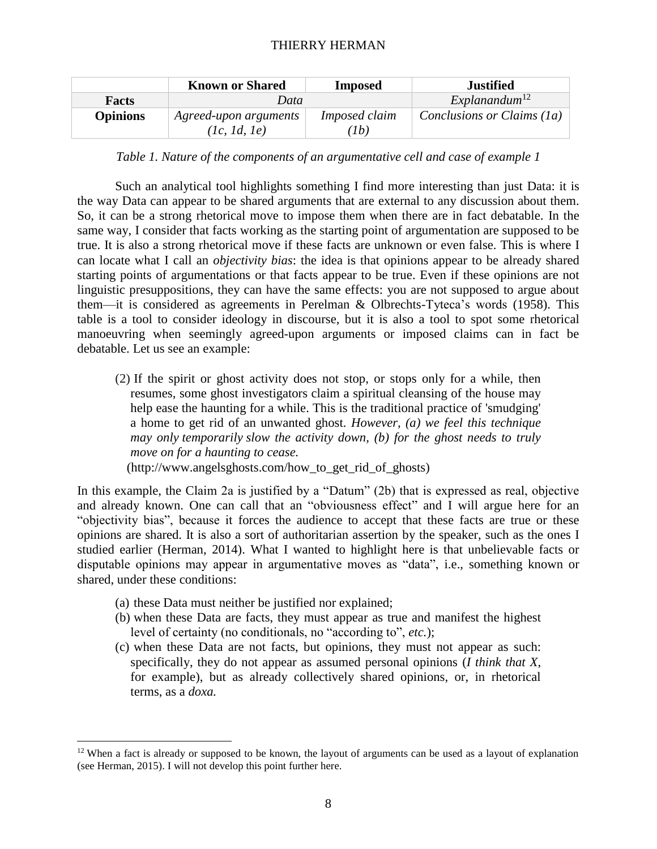|                 | <b>Known or Shared</b>                | <b>Imposed</b>                  | Justified                  |  |  |
|-----------------|---------------------------------------|---------------------------------|----------------------------|--|--|
| Facts           | Data                                  |                                 | Explanandum <sup>12</sup>  |  |  |
| <b>Opinions</b> | Agreed-upon arguments<br>(lc, 1d, 1e) | Imposed claim<br>1 <sub>b</sub> | Conclusions or Claims (1a) |  |  |

*Table 1. Nature of the components of an argumentative cell and case of example 1*

Such an analytical tool highlights something I find more interesting than just Data: it is the way Data can appear to be shared arguments that are external to any discussion about them. So, it can be a strong rhetorical move to impose them when there are in fact debatable. In the same way, I consider that facts working as the starting point of argumentation are supposed to be true. It is also a strong rhetorical move if these facts are unknown or even false. This is where I can locate what I call an *objectivity bias*: the idea is that opinions appear to be already shared starting points of argumentations or that facts appear to be true. Even if these opinions are not linguistic presuppositions, they can have the same effects: you are not supposed to argue about them—it is considered as agreements in Perelman & Olbrechts-Tyteca's words (1958). This table is a tool to consider ideology in discourse, but it is also a tool to spot some rhetorical manoeuvring when seemingly agreed-upon arguments or imposed claims can in fact be debatable. Let us see an example:

(2) If the spirit or ghost activity does not stop, or stops only for a while, then resumes, some ghost investigators claim a spiritual cleansing of the house may help ease the haunting for a while. This is the traditional practice of 'smudging' a home to get rid of an unwanted ghost. *However, (a) we feel this technique may only temporarily slow the activity down, (b) for the ghost needs to truly move on for a haunting to cease.*  [\(http://www.angelsghosts.com/how\\_to\\_get\\_rid\\_of\\_ghosts\)](http://www.angelsghosts.com/how_to_get_rid_of_ghosts)

In this example, the Claim 2a is justified by a "Datum" (2b) that is expressed as real, objective and already known. One can call that an "obviousness effect" and I will argue here for an "objectivity bias", because it forces the audience to accept that these facts are true or these opinions are shared. It is also a sort of authoritarian assertion by the speaker, such as the ones I studied earlier (Herman, 2014). What I wanted to highlight here is that unbelievable facts or disputable opinions may appear in argumentative moves as "data", i.e., something known or shared, under these conditions:

(a) these Data must neither be justified nor explained;

- (b) when these Data are facts, they must appear as true and manifest the highest level of certainty (no conditionals, no "according to", *etc.*);
- (c) when these Data are not facts, but opinions, they must not appear as such: specifically, they do not appear as assumed personal opinions (*I think that X*, for example), but as already collectively shared opinions, or, in rhetorical terms, as a *doxa.*

 $12$  When a fact is already or supposed to be known, the layout of arguments can be used as a layout of explanation (see Herman, 2015). I will not develop this point further here.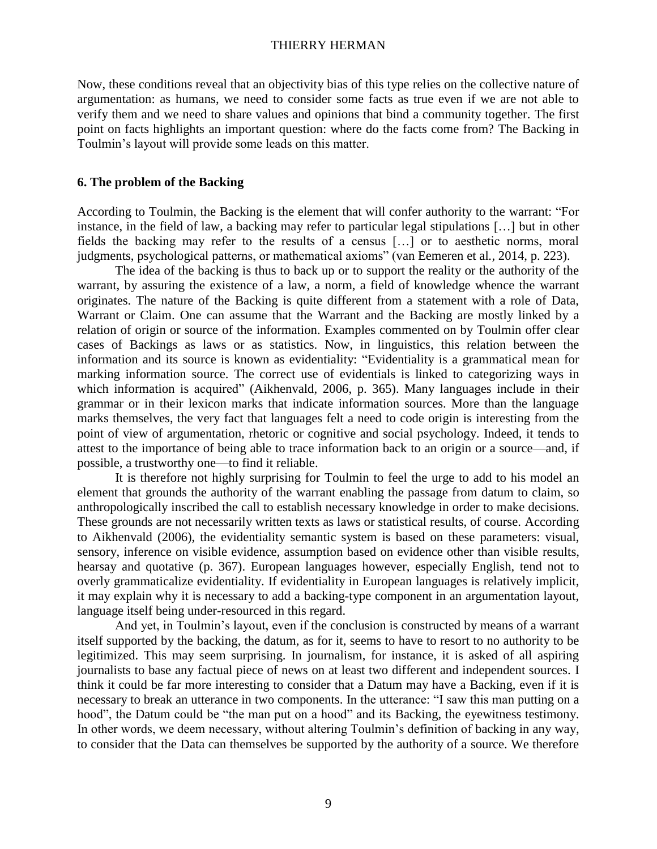Now, these conditions reveal that an objectivity bias of this type relies on the collective nature of argumentation: as humans, we need to consider some facts as true even if we are not able to verify them and we need to share values and opinions that bind a community together. The first point on facts highlights an important question: where do the facts come from? The Backing in Toulmin's layout will provide some leads on this matter.

#### **6. The problem of the Backing**

According to Toulmin, the Backing is the element that will confer authority to the warrant: "For instance, in the field of law, a backing may refer to particular legal stipulations […] but in other fields the backing may refer to the results of a census […] or to aesthetic norms, moral judgments, psychological patterns, or mathematical axioms" (van Eemeren et al*.,* 2014, p. 223).

The idea of the backing is thus to back up or to support the reality or the authority of the warrant, by assuring the existence of a law, a norm, a field of knowledge whence the warrant originates. The nature of the Backing is quite different from a statement with a role of Data, Warrant or Claim. One can assume that the Warrant and the Backing are mostly linked by a relation of origin or source of the information. Examples commented on by Toulmin offer clear cases of Backings as laws or as statistics. Now, in linguistics, this relation between the information and its source is known as evidentiality: "Evidentiality is a grammatical mean for marking information source. The correct use of evidentials is linked to categorizing ways in which information is acquired" (Aikhenvald, 2006, p. 365). Many languages include in their grammar or in their lexicon marks that indicate information sources. More than the language marks themselves, the very fact that languages felt a need to code origin is interesting from the point of view of argumentation, rhetoric or cognitive and social psychology. Indeed, it tends to attest to the importance of being able to trace information back to an origin or a source—and, if possible, a trustworthy one—to find it reliable.

It is therefore not highly surprising for Toulmin to feel the urge to add to his model an element that grounds the authority of the warrant enabling the passage from datum to claim, so anthropologically inscribed the call to establish necessary knowledge in order to make decisions. These grounds are not necessarily written texts as laws or statistical results, of course. According to Aikhenvald (2006), the evidentiality semantic system is based on these parameters: visual, sensory, inference on visible evidence, assumption based on evidence other than visible results, hearsay and quotative (p. 367). European languages however, especially English, tend not to overly grammaticalize evidentiality. If evidentiality in European languages is relatively implicit, it may explain why it is necessary to add a backing-type component in an argumentation layout, language itself being under-resourced in this regard.

And yet, in Toulmin's layout, even if the conclusion is constructed by means of a warrant itself supported by the backing, the datum, as for it, seems to have to resort to no authority to be legitimized. This may seem surprising. In journalism, for instance, it is asked of all aspiring journalists to base any factual piece of news on at least two different and independent sources. I think it could be far more interesting to consider that a Datum may have a Backing, even if it is necessary to break an utterance in two components. In the utterance: "I saw this man putting on a hood", the Datum could be "the man put on a hood" and its Backing, the eyewitness testimony. In other words, we deem necessary, without altering Toulmin's definition of backing in any way, to consider that the Data can themselves be supported by the authority of a source. We therefore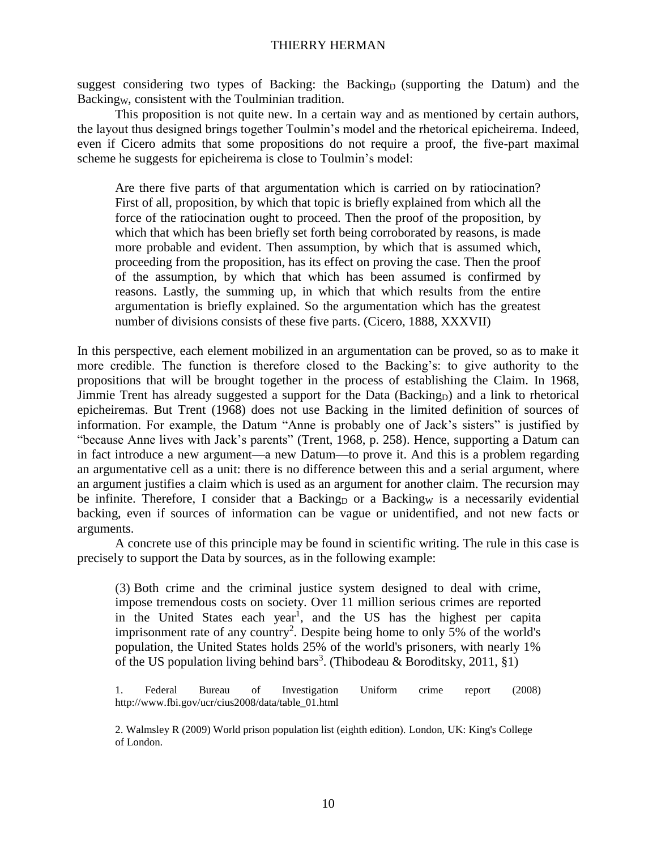suggest considering two types of Backing: the Backing<sub>D</sub> (supporting the Datum) and the Backingw, consistent with the Toulminian tradition.

This proposition is not quite new. In a certain way and as mentioned by certain authors, the layout thus designed brings together Toulmin's model and the rhetorical epicheirema. Indeed, even if Cicero admits that some propositions do not require a proof, the five-part maximal scheme he suggests for epicheirema is close to Toulmin's model:

Are there five parts of that argumentation which is carried on by ratiocination? First of all, proposition, by which that topic is briefly explained from which all the force of the ratiocination ought to proceed. Then the proof of the proposition, by which that which has been briefly set forth being corroborated by reasons, is made more probable and evident. Then assumption, by which that is assumed which, proceeding from the proposition, has its effect on proving the case. Then the proof of the assumption, by which that which has been assumed is confirmed by reasons. Lastly, the summing up, in which that which results from the entire argumentation is briefly explained. So the argumentation which has the greatest number of divisions consists of these five parts. (Cicero*,* 1888, XXXVII)

In this perspective, each element mobilized in an argumentation can be proved, so as to make it more credible. The function is therefore closed to the Backing's: to give authority to the propositions that will be brought together in the process of establishing the Claim. In 1968, Jimmie Trent has already suggested a support for the Data (Backing<sub>D</sub>) and a link to rhetorical epicheiremas. But Trent (1968) does not use Backing in the limited definition of sources of information. For example, the Datum "Anne is probably one of Jack's sisters" is justified by "because Anne lives with Jack's parents" (Trent, 1968, p. 258). Hence, supporting a Datum can in fact introduce a new argument—a new Datum—to prove it. And this is a problem regarding an argumentative cell as a unit: there is no difference between this and a serial argument, where an argument justifies a claim which is used as an argument for another claim. The recursion may be infinite. Therefore, I consider that a Backing<sub>D</sub> or a Backing<sub>W</sub> is a necessarily evidential backing, even if sources of information can be vague or unidentified, and not new facts or arguments.

A concrete use of this principle may be found in scientific writing. The rule in this case is precisely to support the Data by sources, as in the following example:

(3) Both crime and the criminal justice system designed to deal with crime, impose tremendous costs on society. Over 11 million serious crimes are reported in the United States each year<sup>1</sup>, and the US has the highest per capita imprisonment rate of any country<sup>2</sup>. Despite being home to only 5% of the world's population, the United States holds 25% of the world's prisoners, with nearly 1% of the US population living behind bars<sup>3</sup>. (Thibodeau & Boroditsky, 2011, §1)

1. Federal Bureau of Investigation Uniform crime report (2008) [http://www.fbi.gov/ucr/cius2008/data/table\\_01.html](http://www.fbi.gov/ucr/cius2008/data/table_01.html)

2. Walmsley R (2009) World prison population list (eighth edition). London, UK: King's College of London.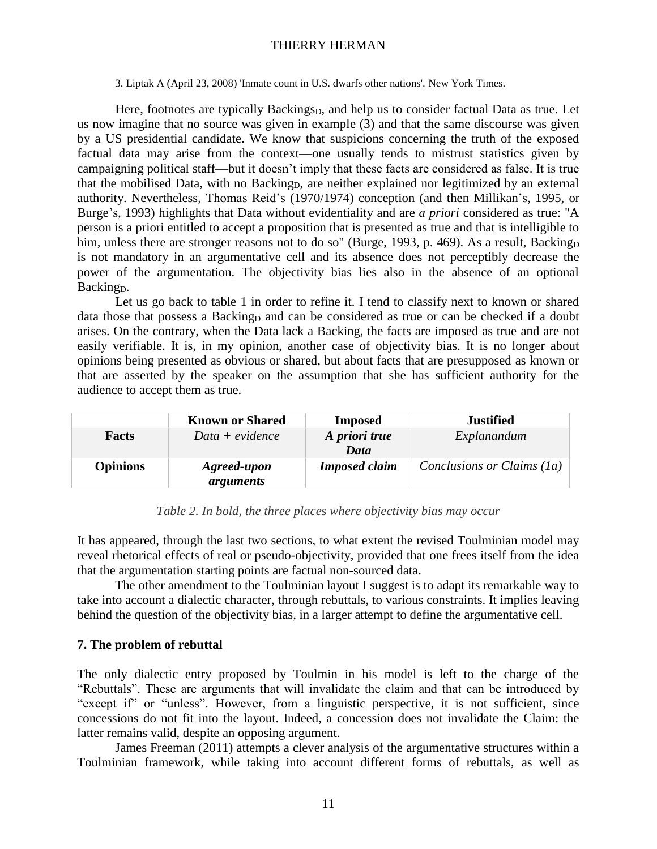3. Liptak A (April 23, 2008) 'Inmate count in U.S. dwarfs other nations'. New York Times.

Here, footnotes are typically Backings<sub>D</sub>, and help us to consider factual Data as true. Let us now imagine that no source was given in example (3) and that the same discourse was given by a US presidential candidate. We know that suspicions concerning the truth of the exposed factual data may arise from the context—one usually tends to mistrust statistics given by campaigning political staff—but it doesn't imply that these facts are considered as false. It is true that the mobilised Data, with no Backing<sub>D</sub>, are neither explained nor legitimized by an external authority. Nevertheless, Thomas Reid's (1970/1974) conception (and then Millikan's, 1995, or Burge's, 1993) highlights that Data without evidentiality and are *a priori* considered as true: "A person is a priori entitled to accept a proposition that is presented as true and that is intelligible to him, unless there are stronger reasons not to do so" (Burge, 1993, p. 469). As a result, Backing<sub>D</sub> is not mandatory in an argumentative cell and its absence does not perceptibly decrease the power of the argumentation. The objectivity bias lies also in the absence of an optional Backing<sub>D</sub>.

Let us go back to table 1 in order to refine it. I tend to classify next to known or shared data those that possess a Backing and can be considered as true or can be checked if a doubt arises. On the contrary, when the Data lack a Backing, the facts are imposed as true and are not easily verifiable. It is, in my opinion, another case of objectivity bias. It is no longer about opinions being presented as obvious or shared, but about facts that are presupposed as known or that are asserted by the speaker on the assumption that she has sufficient authority for the audience to accept them as true.

|                 | <b>Known or Shared</b>   | <b>Imposed</b>        | <b>Justified</b>           |  |  |
|-----------------|--------------------------|-----------------------|----------------------------|--|--|
| Facts           | $Data + evidence$        | A priori true<br>Data | Explanandum                |  |  |
| <b>Opinions</b> | Agreed-upon<br>arguments | <b>Imposed claim</b>  | Conclusions or Claims (1a) |  |  |

*Table 2. In bold, the three places where objectivity bias may occur*

It has appeared, through the last two sections, to what extent the revised Toulminian model may reveal rhetorical effects of real or pseudo-objectivity, provided that one frees itself from the idea that the argumentation starting points are factual non-sourced data.

The other amendment to the Toulminian layout I suggest is to adapt its remarkable way to take into account a dialectic character, through rebuttals, to various constraints. It implies leaving behind the question of the objectivity bias, in a larger attempt to define the argumentative cell.

# **7. The problem of rebuttal**

The only dialectic entry proposed by Toulmin in his model is left to the charge of the "Rebuttals". These are arguments that will invalidate the claim and that can be introduced by "except if" or "unless". However, from a linguistic perspective, it is not sufficient, since concessions do not fit into the layout. Indeed, a concession does not invalidate the Claim: the latter remains valid, despite an opposing argument.

James Freeman (2011) attempts a clever analysis of the argumentative structures within a Toulminian framework, while taking into account different forms of rebuttals, as well as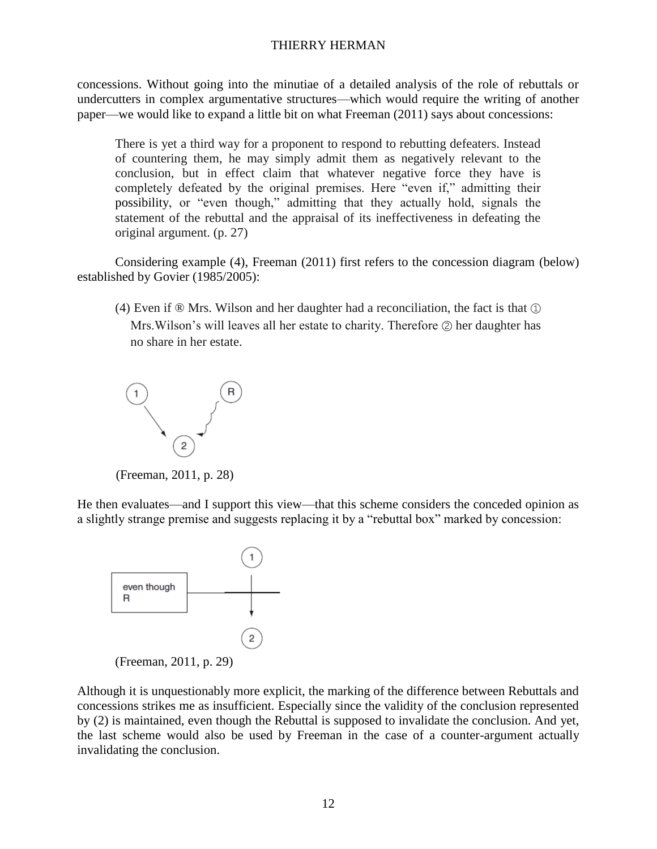concessions. Without going into the minutiae of a detailed analysis of the role of rebuttals or undercutters in complex argumentative structures—which would require the writing of another paper—we would like to expand a little bit on what Freeman (2011) says about concessions:

There is yet a third way for a proponent to respond to rebutting defeaters. Instead of countering them, he may simply admit them as negatively relevant to the conclusion, but in effect claim that whatever negative force they have is completely defeated by the original premises. Here "even if," admitting their possibility, or "even though," admitting that they actually hold, signals the statement of the rebuttal and the appraisal of its ineffectiveness in defeating the original argument. (p. 27)

Considering example (4), Freeman (2011) first refers to the concession diagram (below) established by Govier (1985/2005):

(4) Even if  $\mathcal{D}$  Mrs. Wilson and her daughter had a reconciliation, the fact is that  $\mathcal{D}$ Mrs.Wilson's will leaves all her estate to charity. Therefore ② her daughter has no share in her estate.



(Freeman, 2011, p. 28)

He then evaluates—and I support this view—that this scheme considers the conceded opinion as a slightly strange premise and suggests replacing it by a "rebuttal box" marked by concession:



Although it is unquestionably more explicit, the marking of the difference between Rebuttals and concessions strikes me as insufficient. Especially since the validity of the conclusion represented by (2) is maintained, even though the Rebuttal is supposed to invalidate the conclusion. And yet, the last scheme would also be used by Freeman in the case of a counter-argument actually invalidating the conclusion.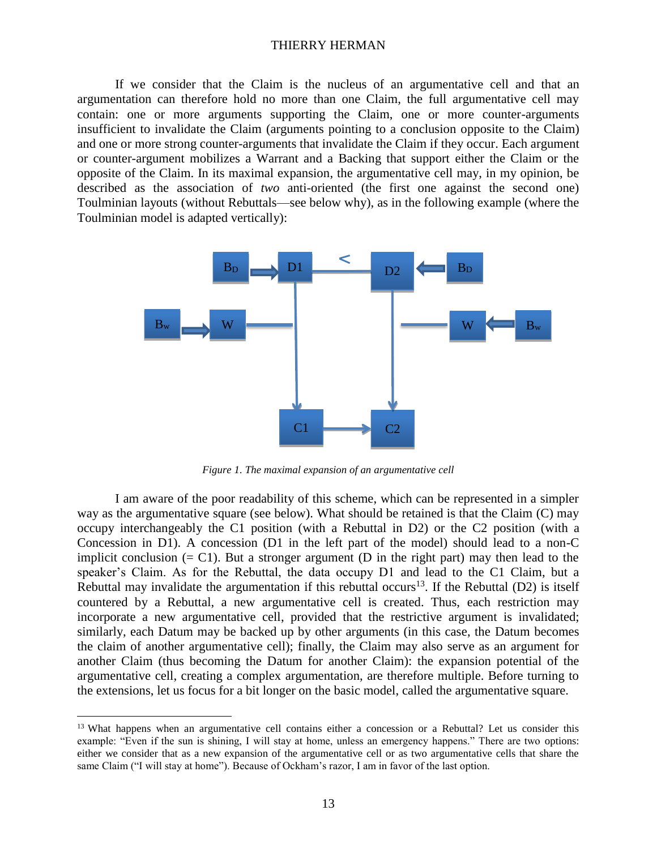If we consider that the Claim is the nucleus of an argumentative cell and that an argumentation can therefore hold no more than one Claim, the full argumentative cell may contain: one or more arguments supporting the Claim, one or more counter-arguments insufficient to invalidate the Claim (arguments pointing to a conclusion opposite to the Claim) and one or more strong counter-arguments that invalidate the Claim if they occur. Each argument or counter-argument mobilizes a Warrant and a Backing that support either the Claim or the opposite of the Claim. In its maximal expansion, the argumentative cell may, in my opinion, be described as the association of *two* anti-oriented (the first one against the second one) Toulminian layouts (without Rebuttals—see below why), as in the following example (where the Toulminian model is adapted vertically):



*Figure 1. The maximal expansion of an argumentative cell*

I am aware of the poor readability of this scheme, which can be represented in a simpler way as the argumentative square (see below). What should be retained is that the Claim (C) may occupy interchangeably the C1 position (with a Rebuttal in D2) or the C2 position (with a Concession in D1). A concession (D1 in the left part of the model) should lead to a non-C implicit conclusion  $(= C1)$ . But a stronger argument (D in the right part) may then lead to the speaker's Claim. As for the Rebuttal, the data occupy D1 and lead to the C1 Claim, but a Rebuttal may invalidate the argumentation if this rebuttal occurs<sup>13</sup>. If the Rebuttal (D2) is itself countered by a Rebuttal, a new argumentative cell is created. Thus, each restriction may incorporate a new argumentative cell, provided that the restrictive argument is invalidated; similarly, each Datum may be backed up by other arguments (in this case, the Datum becomes the claim of another argumentative cell); finally, the Claim may also serve as an argument for another Claim (thus becoming the Datum for another Claim): the expansion potential of the argumentative cell, creating a complex argumentation, are therefore multiple. Before turning to the extensions, let us focus for a bit longer on the basic model, called the argumentative square.

<sup>&</sup>lt;sup>13</sup> What happens when an argumentative cell contains either a concession or a Rebuttal? Let us consider this example: "Even if the sun is shining, I will stay at home, unless an emergency happens." There are two options: either we consider that as a new expansion of the argumentative cell or as two argumentative cells that share the same Claim ("I will stay at home"). Because of Ockham's razor, I am in favor of the last option.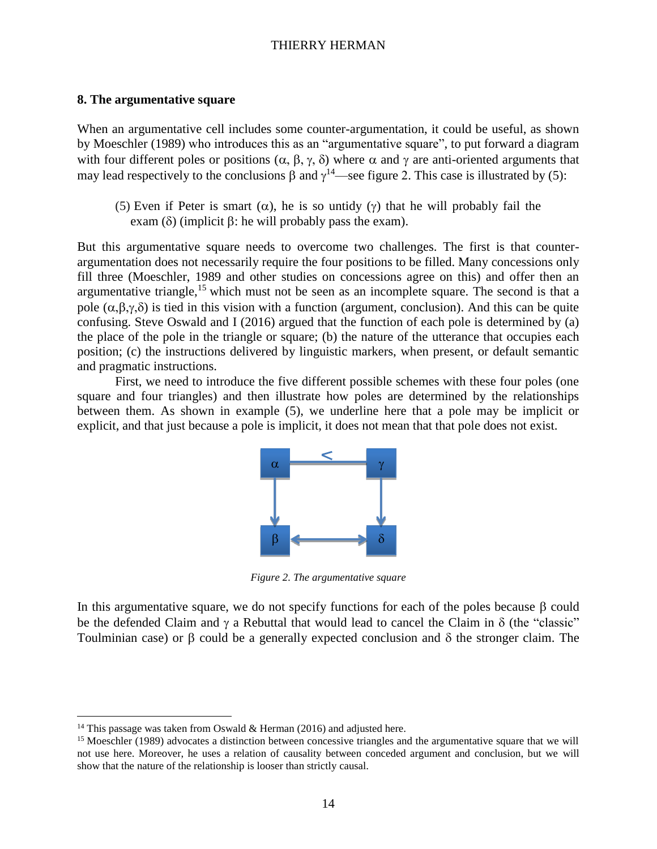#### **8. The argumentative square**

When an argumentative cell includes some counter-argumentation, it could be useful, as shown by Moeschler (1989) who introduces this as an "argumentative square", to put forward a diagram with four different poles or positions  $(\alpha, \beta, \gamma, \delta)$  where  $\alpha$  and  $\gamma$  are anti-oriented arguments that may lead respectively to the conclusions  $\beta$  and  $\gamma^{14}$ —see figure 2. This case is illustrated by (5):

(5) Even if Peter is smart ( $\alpha$ ), he is so untidy ( $\gamma$ ) that he will probably fail the  $exam (\delta)$  (implicit  $\beta$ : he will probably pass the exam).

But this argumentative square needs to overcome two challenges. The first is that counterargumentation does not necessarily require the four positions to be filled. Many concessions only fill three (Moeschler, 1989 and other studies on concessions agree on this) and offer then an argumentative triangle,<sup>15</sup> which must not be seen as an incomplete square. The second is that a pole  $(\alpha, \beta, \gamma, \delta)$  is tied in this vision with a function (argument, conclusion). And this can be quite confusing. Steve Oswald and I (2016) argued that the function of each pole is determined by (a) the place of the pole in the triangle or square; (b) the nature of the utterance that occupies each position; (c) the instructions delivered by linguistic markers, when present, or default semantic and pragmatic instructions.

First, we need to introduce the five different possible schemes with these four poles (one square and four triangles) and then illustrate how poles are determined by the relationships between them. As shown in example (5), we underline here that a pole may be implicit or explicit, and that just because a pole is implicit, it does not mean that that pole does not exist.



*Figure 2. The argumentative square*

In this argumentative square, we do not specify functions for each of the poles because  $\beta$  could be the defended Claim and  $\gamma$  a Rebuttal that would lead to cancel the Claim in  $\delta$  (the "classic" Toulminian case) or  $\beta$  could be a generally expected conclusion and  $\delta$  the stronger claim. The

<sup>&</sup>lt;sup>14</sup> This passage was taken from Oswald & Herman (2016) and adjusted here.

<sup>&</sup>lt;sup>15</sup> Moeschler (1989) advocates a distinction between concessive triangles and the argumentative square that we will not use here. Moreover, he uses a relation of causality between conceded argument and conclusion, but we will show that the nature of the relationship is looser than strictly causal.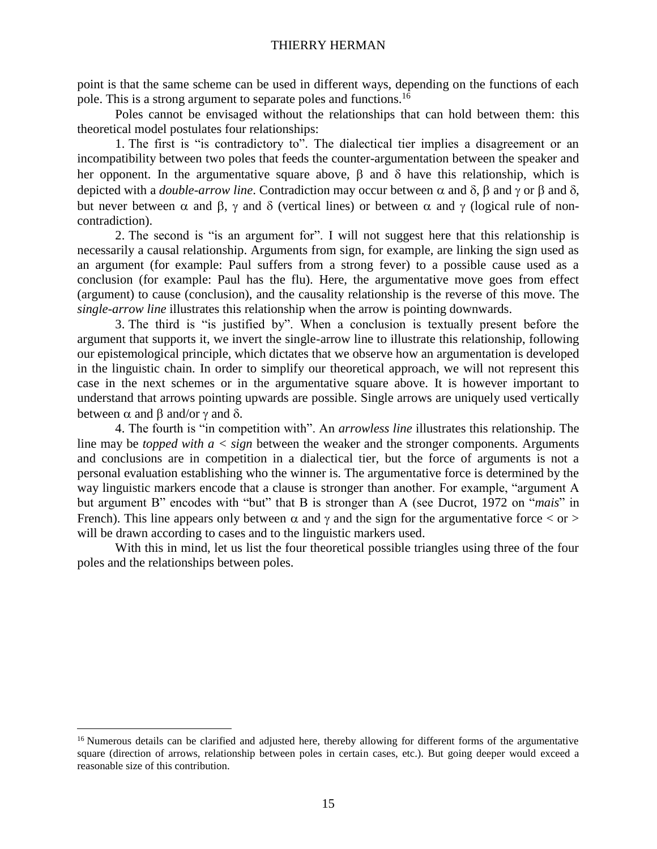point is that the same scheme can be used in different ways, depending on the functions of each pole. This is a strong argument to separate poles and functions.<sup>16</sup>

Poles cannot be envisaged without the relationships that can hold between them: this theoretical model postulates four relationships:

1. The first is "is contradictory to". The dialectical tier implies a disagreement or an incompatibility between two poles that feeds the counter-argumentation between the speaker and her opponent. In the argumentative square above,  $\beta$  and  $\delta$  have this relationship, which is depicted with a *double-arrow line*. Contradiction may occur between  $\alpha$  and  $\delta$ ,  $\beta$  and  $\gamma$  or  $\beta$  and  $\delta$ , but never between  $\alpha$  and  $\beta$ ,  $\gamma$  and  $\delta$  (vertical lines) or between  $\alpha$  and  $\gamma$  (logical rule of noncontradiction).

2. The second is "is an argument for". I will not suggest here that this relationship is necessarily a causal relationship. Arguments from sign, for example, are linking the sign used as an argument (for example: Paul suffers from a strong fever) to a possible cause used as a conclusion (for example: Paul has the flu). Here, the argumentative move goes from effect (argument) to cause (conclusion), and the causality relationship is the reverse of this move. The *single-arrow line* illustrates this relationship when the arrow is pointing downwards.

3. The third is "is justified by". When a conclusion is textually present before the argument that supports it, we invert the single-arrow line to illustrate this relationship, following our epistemological principle, which dictates that we observe how an argumentation is developed in the linguistic chain. In order to simplify our theoretical approach, we will not represent this case in the next schemes or in the argumentative square above. It is however important to understand that arrows pointing upwards are possible. Single arrows are uniquely used vertically between  $\alpha$  and  $\beta$  and/or  $\gamma$  and  $\delta$ .

4. The fourth is "in competition with". An *arrowless line* illustrates this relationship. The line may be *topped with a < sign* between the weaker and the stronger components. Arguments and conclusions are in competition in a dialectical tier, but the force of arguments is not a personal evaluation establishing who the winner is. The argumentative force is determined by the way linguistic markers encode that a clause is stronger than another. For example, "argument A but argument B" encodes with "but" that B is stronger than A (see Ducrot, 1972 on "*mais*" in French). This line appears only between  $\alpha$  and  $\gamma$  and the sign for the argumentative force  $\langle$  or  $\rangle$ will be drawn according to cases and to the linguistic markers used.

With this in mind, let us list the four theoretical possible triangles using three of the four poles and the relationships between poles.

<sup>&</sup>lt;sup>16</sup> Numerous details can be clarified and adjusted here, thereby allowing for different forms of the argumentative square (direction of arrows, relationship between poles in certain cases, etc.). But going deeper would exceed a reasonable size of this contribution.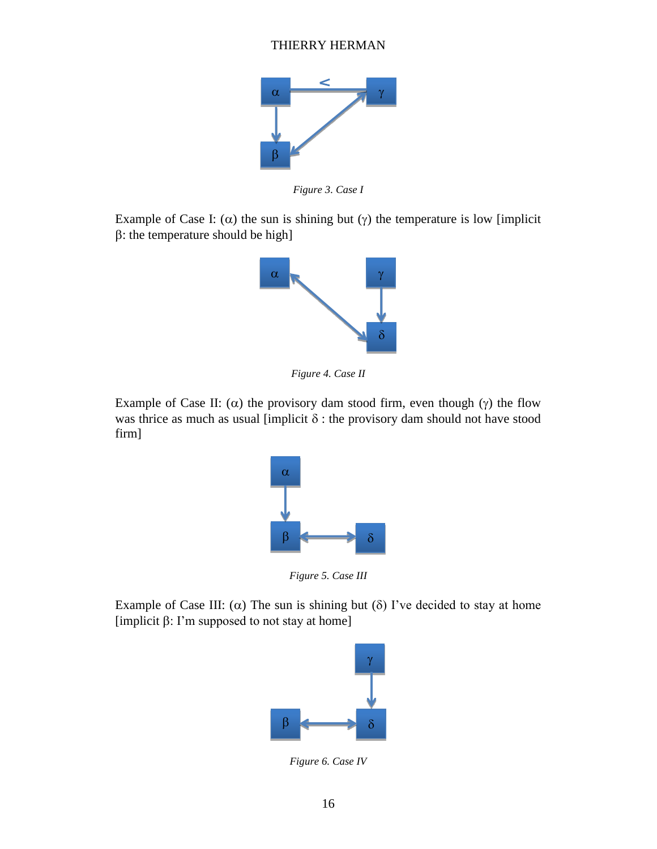

*Figure 3. Case I*

Example of Case I:  $(\alpha)$  the sun is shining but  $(\gamma)$  the temperature is low [implicit]  $\beta$ : the temperature should be high]



*Figure 4. Case II*

Example of Case II: ( $\alpha$ ) the provisory dam stood firm, even though ( $\gamma$ ) the flow was thrice as much as usual [implicit  $\delta$  : the provisory dam should not have stood firm]



*Figure 5. Case III*

Example of Case III:  $(\alpha)$  The sun is shining but  $(\delta)$  I've decided to stay at home [implicit  $\beta$ : I'm supposed to not stay at home]



*Figure 6. Case IV*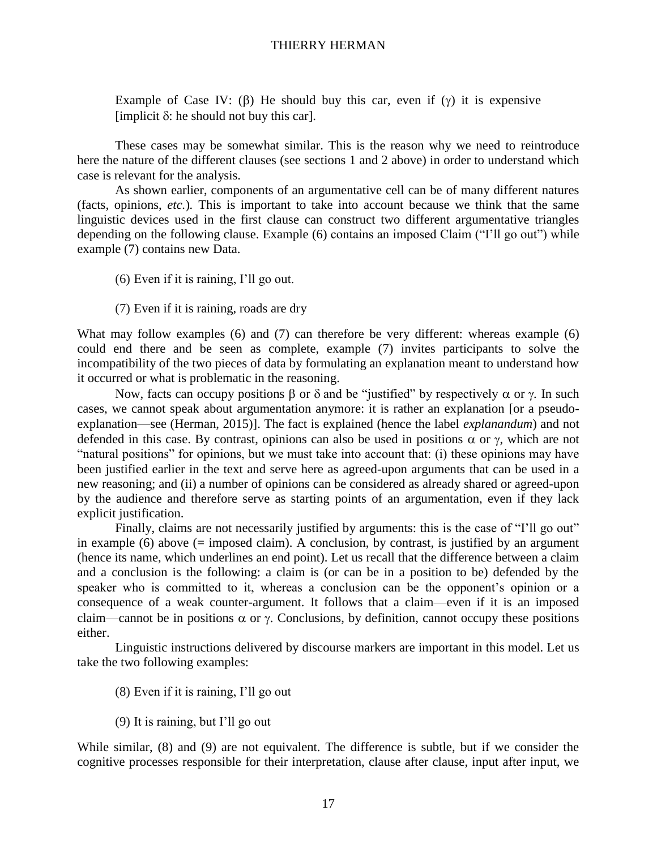Example of Case IV: ( $\beta$ ) He should buy this car, even if ( $\gamma$ ) it is expensive [implicit  $\delta$ : he should not buy this car].

These cases may be somewhat similar. This is the reason why we need to reintroduce here the nature of the different clauses (see sections 1 and 2 above) in order to understand which case is relevant for the analysis.

As shown earlier, components of an argumentative cell can be of many different natures (facts, opinions, *etc.*)*.* This is important to take into account because we think that the same linguistic devices used in the first clause can construct two different argumentative triangles depending on the following clause. Example (6) contains an imposed Claim ("I'll go out") while example (7) contains new Data.

- (6) Even if it is raining, I'll go out.
- (7) Even if it is raining, roads are dry

What may follow examples (6) and (7) can therefore be very different: whereas example (6) could end there and be seen as complete, example (7) invites participants to solve the incompatibility of the two pieces of data by formulating an explanation meant to understand how it occurred or what is problematic in the reasoning.

Now, facts can occupy positions  $\beta$  or  $\delta$  and be "justified" by respectively  $\alpha$  or  $\gamma$ . In such cases, we cannot speak about argumentation anymore: it is rather an explanation [or a pseudoexplanation—see (Herman, 2015)]. The fact is explained (hence the label *explanandum*) and not defended in this case. By contrast, opinions can also be used in positions  $\alpha$  or  $\gamma$ , which are not "natural positions" for opinions, but we must take into account that: (i) these opinions may have been justified earlier in the text and serve here as agreed-upon arguments that can be used in a new reasoning; and (ii) a number of opinions can be considered as already shared or agreed-upon by the audience and therefore serve as starting points of an argumentation, even if they lack explicit justification.

Finally, claims are not necessarily justified by arguments: this is the case of "I'll go out" in example (6) above  $(= \text{imposed claim})$ . A conclusion, by contrast, is justified by an argument (hence its name, which underlines an end point). Let us recall that the difference between a claim and a conclusion is the following: a claim is (or can be in a position to be) defended by the speaker who is committed to it, whereas a conclusion can be the opponent's opinion or a consequence of a weak counter-argument. It follows that a claim—even if it is an imposed claim—cannot be in positions  $\alpha$  or  $\gamma$ . Conclusions, by definition, cannot occupy these positions either.

Linguistic instructions delivered by discourse markers are important in this model. Let us take the two following examples:

- (8) Even if it is raining, I'll go out
- (9) It is raining, but I'll go out

While similar, (8) and (9) are not equivalent. The difference is subtle, but if we consider the cognitive processes responsible for their interpretation, clause after clause, input after input, we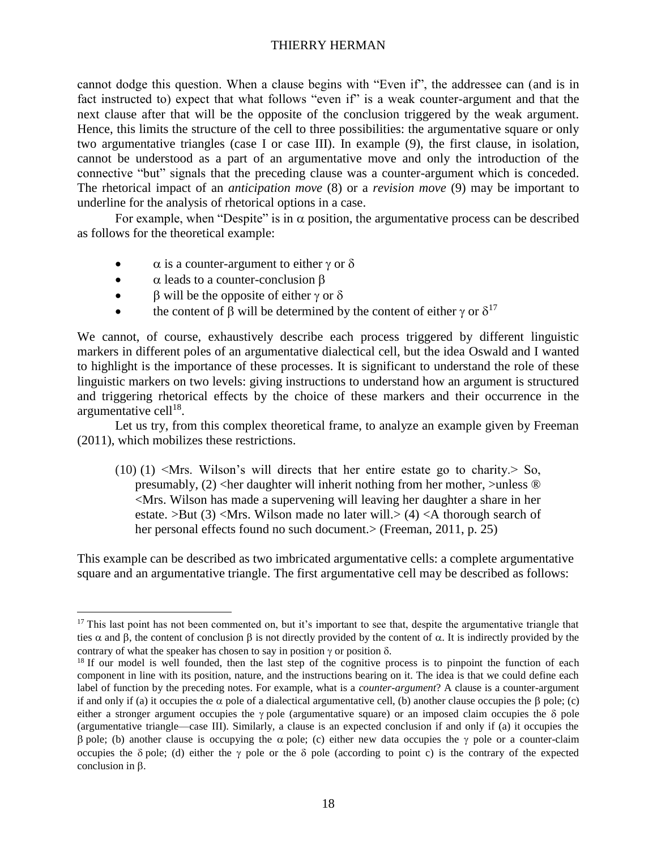cannot dodge this question. When a clause begins with "Even if", the addressee can (and is in fact instructed to) expect that what follows "even if" is a weak counter-argument and that the next clause after that will be the opposite of the conclusion triggered by the weak argument. Hence, this limits the structure of the cell to three possibilities: the argumentative square or only two argumentative triangles (case I or case III). In example (9), the first clause, in isolation, cannot be understood as a part of an argumentative move and only the introduction of the connective "but" signals that the preceding clause was a counter-argument which is conceded. The rhetorical impact of an *anticipation move* (8) or a *revision move* (9) may be important to underline for the analysis of rhetorical options in a case.

For example, when "Despite" is in  $\alpha$  position, the argumentative process can be described as follows for the theoretical example:

- $\alpha$  is a counter-argument to either  $\gamma$  or  $\delta$
- $\bullet$   $\alpha$  leads to a counter-conclusion  $\beta$

 $\overline{a}$ 

- $\bullet$   $\upbeta$  will be the opposite of either  $\gamma$  or  $\delta$
- the content of  $\beta$  will be determined by the content of either  $\gamma$  or  $\delta^{17}$

We cannot, of course, exhaustively describe each process triggered by different linguistic markers in different poles of an argumentative dialectical cell, but the idea Oswald and I wanted to highlight is the importance of these processes. It is significant to understand the role of these linguistic markers on two levels: giving instructions to understand how an argument is structured and triggering rhetorical effects by the choice of these markers and their occurrence in the argumentative cell<sup>18</sup>.

Let us try, from this complex theoretical frame, to analyze an example given by Freeman (2011), which mobilizes these restrictions.

(10) (1)  $\leq Mrs$ . Wilson's will directs that her entire estate go to charity. So, presumably,  $(2)$  <her daughter will inherit nothing from her mother, >unless  $\circledR$ <Mrs. Wilson has made a supervening will leaving her daughter a share in her estate. >But (3) <Mrs. Wilson made no later will.> (4) <A thorough search of her personal effects found no such document. > (Freeman, 2011, p. 25)

This example can be described as two imbricated argumentative cells: a complete argumentative square and an argumentative triangle. The first argumentative cell may be described as follows:

<sup>&</sup>lt;sup>17</sup> This last point has not been commented on, but it's important to see that, despite the argumentative triangle that ties  $\alpha$  and  $\beta$ , the content of conclusion  $\beta$  is not directly provided by the content of  $\alpha$ . It is indirectly provided by the contrary of what the speaker has chosen to say in position  $\gamma$  or position  $\delta$ .

<sup>&</sup>lt;sup>18</sup> If our model is well founded, then the last step of the cognitive process is to pinpoint the function of each component in line with its position, nature, and the instructions bearing on it. The idea is that we could define each label of function by the preceding notes. For example, what is a *counter-argument*? A clause is a counter-argument if and only if (a) it occupies the  $\alpha$  pole of a dialectical argumentative cell, (b) another clause occupies the  $\beta$  pole; (c) either a stronger argument occupies the  $\gamma$  pole (argumentative square) or an imposed claim occupies the  $\delta$  pole (argumentative triangle—case III). Similarly, a clause is an expected conclusion if and only if (a) it occupies the  $\beta$  pole; (b) another clause is occupying the  $\alpha$  pole; (c) either new data occupies the  $\gamma$  pole or a counter-claim occupies the  $\delta$  pole; (d) either the  $\gamma$  pole or the  $\delta$  pole (according to point c) is the contrary of the expected conclusion in  $\beta$ .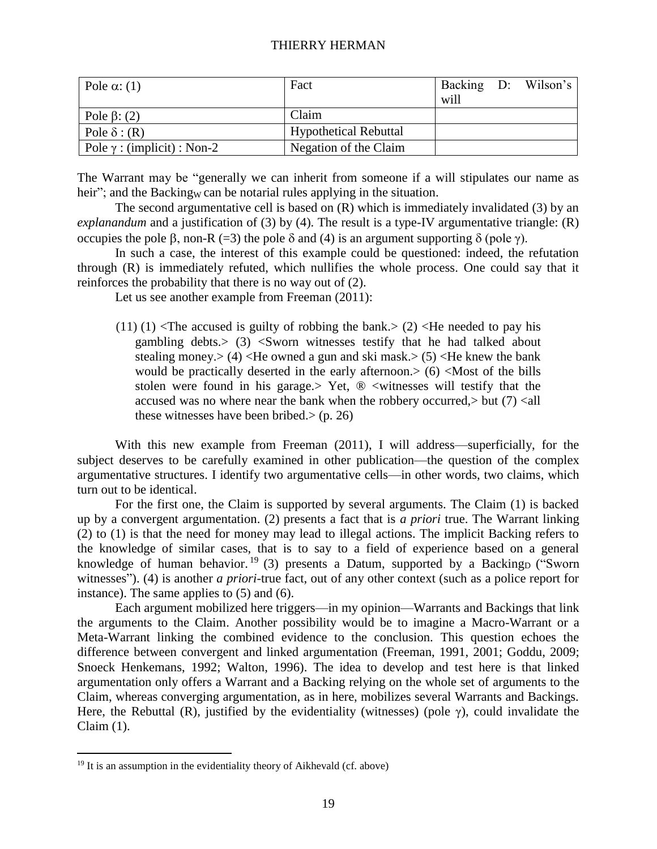| Pole $\alpha$ : (1)                | Fact                         |      | Backing D: Wilson's |
|------------------------------------|------------------------------|------|---------------------|
|                                    |                              | will |                     |
| Pole $\beta$ : (2)                 | Claim                        |      |                     |
| Pole $\delta$ : (R)                | <b>Hypothetical Rebuttal</b> |      |                     |
| Pole $\gamma$ : (implicit) : Non-2 | Negation of the Claim        |      |                     |

The Warrant may be "generally we can inherit from someone if a will stipulates our name as heir"; and the Backing<sub>W</sub> can be notarial rules applying in the situation.

The second argumentative cell is based on (R) which is immediately invalidated (3) by an *explanandum* and a justification of (3) by (4). The result is a type-IV argumentative triangle: (R) occupies the pole β, non-R (=3) the pole δ and (4) is an argument supporting δ (pole γ).

In such a case, the interest of this example could be questioned: indeed, the refutation through (R) is immediately refuted, which nullifies the whole process. One could say that it reinforces the probability that there is no way out of (2).

Let us see another example from Freeman (2011):

 $(11)(1)$  <The accused is guilty of robbing the bank.>  $(2)$  <He needed to pay his gambling debts.> (3) <Sworn witnesses testify that he had talked about stealing money. $> (4)$  <He owned a gun and ski mask. $> (5)$  <He knew the bank would be practically deserted in the early afternoon. $>$  (6) <Most of the bills stolen were found in his garage.> Yet,  $\mathcal D$  <witnesses will testify that the accused was no where near the bank when the robbery occurred, $>$  but (7) <all these witnesses have been bribed. $>$  (p. 26)

With this new example from Freeman (2011), I will address—superficially, for the subject deserves to be carefully examined in other publication—the question of the complex argumentative structures. I identify two argumentative cells—in other words, two claims, which turn out to be identical.

For the first one, the Claim is supported by several arguments. The Claim (1) is backed up by a convergent argumentation. (2) presents a fact that is *a priori* true. The Warrant linking (2) to (1) is that the need for money may lead to illegal actions. The implicit Backing refers to the knowledge of similar cases, that is to say to a field of experience based on a general knowledge of human behavior.<sup>19</sup> (3) presents a Datum, supported by a Backing<sub>D</sub> ("Sworn witnesses"). (4) is another *a priori*-true fact, out of any other context (such as a police report for instance). The same applies to (5) and (6).

Each argument mobilized here triggers—in my opinion—Warrants and Backings that link the arguments to the Claim. Another possibility would be to imagine a Macro-Warrant or a Meta-Warrant linking the combined evidence to the conclusion. This question echoes the difference between convergent and linked argumentation (Freeman, 1991, 2001; Goddu, 2009; Snoeck Henkemans, 1992; Walton, 1996). The idea to develop and test here is that linked argumentation only offers a Warrant and a Backing relying on the whole set of arguments to the Claim, whereas converging argumentation, as in here, mobilizes several Warrants and Backings. Here, the Rebuttal (R), justified by the evidentiality (witnesses) (pole  $\gamma$ ), could invalidate the Claim (1).

 $19$  It is an assumption in the evidentiality theory of Aikhevald (cf. above)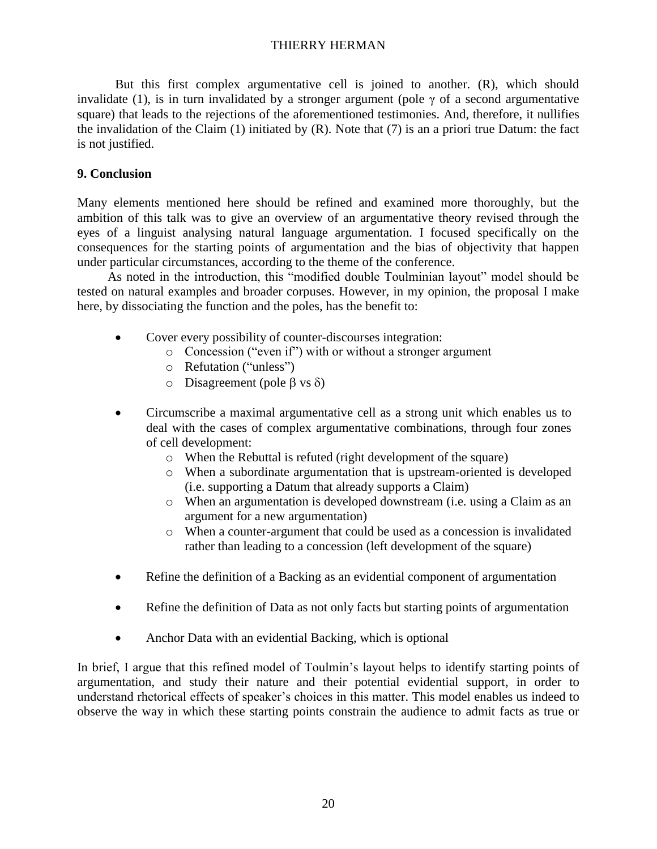But this first complex argumentative cell is joined to another. (R), which should invalidate (1), is in turn invalidated by a stronger argument (pole  $\gamma$  of a second argumentative square) that leads to the rejections of the aforementioned testimonies. And, therefore, it nullifies the invalidation of the Claim  $(1)$  initiated by  $(R)$ . Note that  $(7)$  is an a priori true Datum: the fact is not justified.

# **9. Conclusion**

Many elements mentioned here should be refined and examined more thoroughly, but the ambition of this talk was to give an overview of an argumentative theory revised through the eyes of a linguist analysing natural language argumentation. I focused specifically on the consequences for the starting points of argumentation and the bias of objectivity that happen under particular circumstances, according to the theme of the conference.

As noted in the introduction, this "modified double Toulminian layout" model should be tested on natural examples and broader corpuses. However, in my opinion, the proposal I make here, by dissociating the function and the poles, has the benefit to:

- Cover every possibility of counter-discourses integration:
	- o Concession ("even if") with or without a stronger argument
	- o Refutation ("unless")
	- o Disagreement (pole  $\beta$  vs  $\delta$ )
- Circumscribe a maximal argumentative cell as a strong unit which enables us to deal with the cases of complex argumentative combinations, through four zones of cell development:
	- o When the Rebuttal is refuted (right development of the square)
	- o When a subordinate argumentation that is upstream-oriented is developed (i.e. supporting a Datum that already supports a Claim)
	- o When an argumentation is developed downstream (i.e. using a Claim as an argument for a new argumentation)
	- o When a counter-argument that could be used as a concession is invalidated rather than leading to a concession (left development of the square)
- Refine the definition of a Backing as an evidential component of argumentation
- Refine the definition of Data as not only facts but starting points of argumentation
- Anchor Data with an evidential Backing, which is optional

In brief, I argue that this refined model of Toulmin's layout helps to identify starting points of argumentation, and study their nature and their potential evidential support, in order to understand rhetorical effects of speaker's choices in this matter. This model enables us indeed to observe the way in which these starting points constrain the audience to admit facts as true or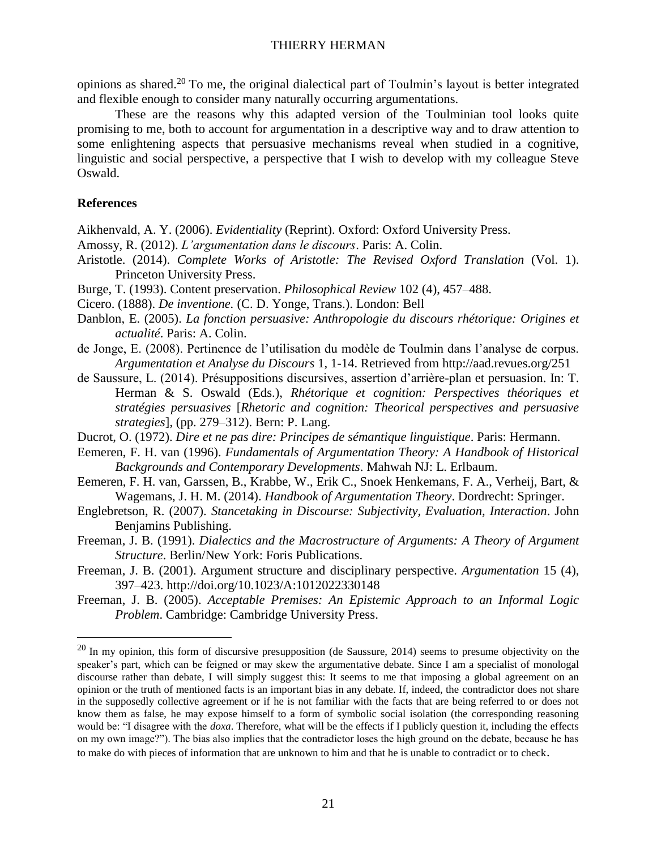opinions as shared.<sup>20</sup> To me, the original dialectical part of Toulmin's layout is better integrated and flexible enough to consider many naturally occurring argumentations.

These are the reasons why this adapted version of the Toulminian tool looks quite promising to me, both to account for argumentation in a descriptive way and to draw attention to some enlightening aspects that persuasive mechanisms reveal when studied in a cognitive, linguistic and social perspective, a perspective that I wish to develop with my colleague Steve Oswald.

#### **References**

 $\overline{a}$ 

Aikhenvald, A. Y. (2006). *Evidentiality* (Reprint). Oxford: Oxford University Press.

- Amossy, R. (2012). *L'argumentation dans le discours*. Paris: A. Colin.
- Aristotle. (2014). *Complete Works of Aristotle: The Revised Oxford Translation* (Vol. 1). Princeton University Press.
- Burge, T. (1993). Content preservation. *Philosophical Review* 102 (4), 457–488.
- Cicero. (1888). *De inventione.* (C. D. Yonge, Trans.). London: Bell
- Danblon, E. (2005). *La fonction persuasive: Anthropologie du discours rhétorique: Origines et actualité*. Paris: A. Colin.
- de Jonge, E. (2008). Pertinence de l'utilisation du modèle de Toulmin dans l'analyse de corpus. *Argumentation et Analyse du Discours* 1, 1-14. Retrieved from http://aad.revues.org/251
- de Saussure, L. (2014). Présuppositions discursives, assertion d'arrière-plan et persuasion. In: T. Herman & S. Oswald (Eds.), *Rhétorique et cognition: Perspectives théoriques et stratégies persuasives* [*Rhetoric and cognition: Theorical perspectives and persuasive strategies*], (pp. 279–312). Bern: P. Lang.
- Ducrot, O. (1972). *Dire et ne pas dire: Principes de sémantique linguistique*. Paris: Hermann.
- Eemeren, F. H. van (1996). *Fundamentals of Argumentation Theory: A Handbook of Historical Backgrounds and Contemporary Developments*. Mahwah NJ: L. Erlbaum.
- Eemeren, F. H. van, Garssen, B., Krabbe, W., Erik C., Snoek Henkemans, F. A., Verheij, Bart, & Wagemans, J. H. M. (2014). *Handbook of Argumentation Theory*. Dordrecht: Springer.
- Englebretson, R. (2007). *Stancetaking in Discourse: Subjectivity, Evaluation, Interaction*. John Benjamins Publishing.
- Freeman, J. B. (1991). *Dialectics and the Macrostructure of Arguments: A Theory of Argument Structure*. Berlin/New York: Foris Publications.
- Freeman, J. B. (2001). Argument structure and disciplinary perspective. *Argumentation* 15 (4), 397–423. http://doi.org/10.1023/A:1012022330148
- Freeman, J. B. (2005). *Acceptable Premises: An Epistemic Approach to an Informal Logic Problem*. Cambridge: Cambridge University Press.

 $20$  In my opinion, this form of discursive presupposition (de Saussure, 2014) seems to presume objectivity on the speaker's part, which can be feigned or may skew the argumentative debate. Since I am a specialist of monologal discourse rather than debate, I will simply suggest this: It seems to me that imposing a global agreement on an opinion or the truth of mentioned facts is an important bias in any debate. If, indeed, the contradictor does not share in the supposedly collective agreement or if he is not familiar with the facts that are being referred to or does not know them as false, he may expose himself to a form of symbolic social isolation (the corresponding reasoning would be: "I disagree with the *doxa*. Therefore, what will be the effects if I publicly question it, including the effects on my own image?"). The bias also implies that the contradictor loses the high ground on the debate, because he has to make do with pieces of information that are unknown to him and that he is unable to contradict or to check.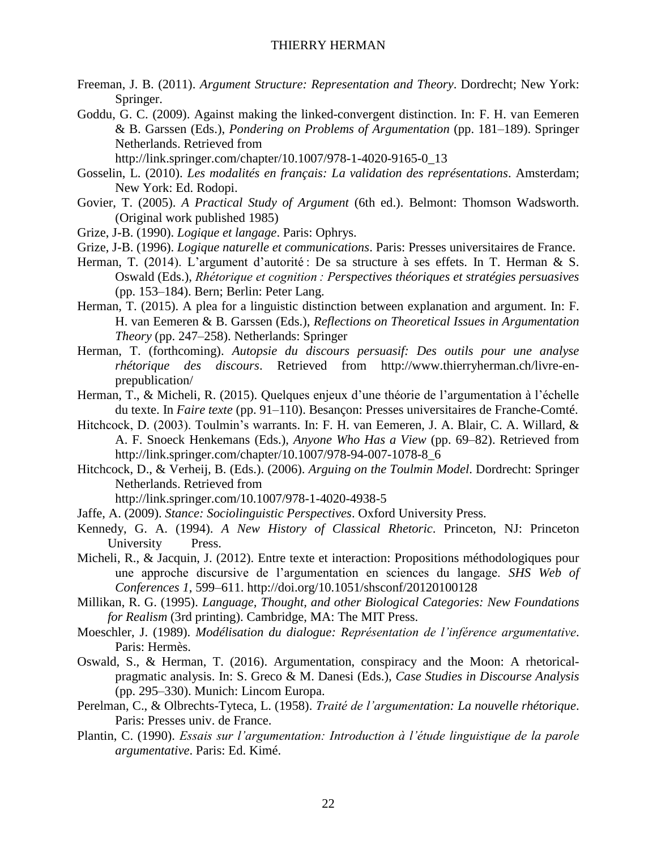- Freeman, J. B. (2011). *Argument Structure: Representation and Theory*. Dordrecht; New York: Springer.
- Goddu, G. C. (2009). Against making the linked-convergent distinction. In: F. H. van Eemeren & B. Garssen (Eds.), *Pondering on Problems of Argumentation* (pp. 181–189). Springer Netherlands. Retrieved from
	- http://link.springer.com/chapter/10.1007/978-1-4020-9165-0\_13
- Gosselin, L. (2010). *Les modalités en français: La validation des représentations*. Amsterdam; New York: Ed. Rodopi.
- Govier, T. (2005). *A Practical Study of Argument* (6th ed.). Belmont: Thomson Wadsworth. (Original work published 1985)
- Grize, J-B. (1990). *Logique et langage*. Paris: Ophrys.
- Grize, J-B. (1996). *Logique naturelle et communications*. Paris: Presses universitaires de France.
- Herman, T. (2014). L'argument d'autorité : De sa structure à ses effets. In T. Herman & S. Oswald (Eds.), *Rhétorique et cognition : Perspectives théoriques et stratégies persuasives* (pp. 153–184). Bern; Berlin: Peter Lang.
- Herman, T. (2015). A plea for a linguistic distinction between explanation and argument. In: F. H. van Eemeren & B. Garssen (Eds.), *Reflections on Theoretical Issues in Argumentation Theory* (pp. 247–258). Netherlands: Springer
- Herman, T. (forthcoming). *Autopsie du discours persuasif: Des outils pour une analyse rhétorique des discours*. Retrieved from http://www.thierryherman.ch/livre-enprepublication/
- Herman, T., & Micheli, R. (2015). Quelques enjeux d'une théorie de l'argumentation à l'échelle du texte. In *Faire texte* (pp. 91–110). Besançon: Presses universitaires de Franche-Comté.
- Hitchcock, D. (2003). Toulmin's warrants. In: F. H. van Eemeren, J. A. Blair, C. A. Willard, & A. F. Snoeck Henkemans (Eds.), *Anyone Who Has a View* (pp. 69–82). Retrieved from http://link.springer.com/chapter/10.1007/978-94-007-1078-8\_6
- Hitchcock, D., & Verheij, B. (Eds.). (2006). *Arguing on the Toulmin Model*. Dordrecht: Springer Netherlands. Retrieved from

http://link.springer.com/10.1007/978-1-4020-4938-5

- Jaffe, A. (2009). *Stance: Sociolinguistic Perspectives*. Oxford University Press.
- Kennedy, G. A. (1994). *A New History of Classical Rhetoric*. Princeton, NJ: Princeton University Press.
- Micheli, R., & Jacquin, J. (2012). Entre texte et interaction: Propositions méthodologiques pour une approche discursive de l'argumentation en sciences du langage. *SHS Web of Conferences 1*, 599–611. http://doi.org/10.1051/shsconf/20120100128
- Millikan, R. G. (1995). *Language, Thought, and other Biological Categories: New Foundations for Realism* (3rd printing). Cambridge, MA: The MIT Press.
- Moeschler, J. (1989). *Modélisation du dialogue: Représentation de l'inférence argumentative*. Paris: Hermès.
- Oswald, S., & Herman, T. (2016). Argumentation, conspiracy and the Moon: A rhetoricalpragmatic analysis. In: S. Greco & M. Danesi (Eds.), *Case Studies in Discourse Analysis* (pp. 295–330). Munich: Lincom Europa.
- Perelman, C., & Olbrechts-Tyteca, L. (1958). *Traité de l'argumentation: La nouvelle rhétorique*. Paris: Presses univ. de France.
- Plantin, C. (1990). *Essais sur l'argumentation: Introduction à l'étude linguistique de la parole argumentative*. Paris: Ed. Kimé.